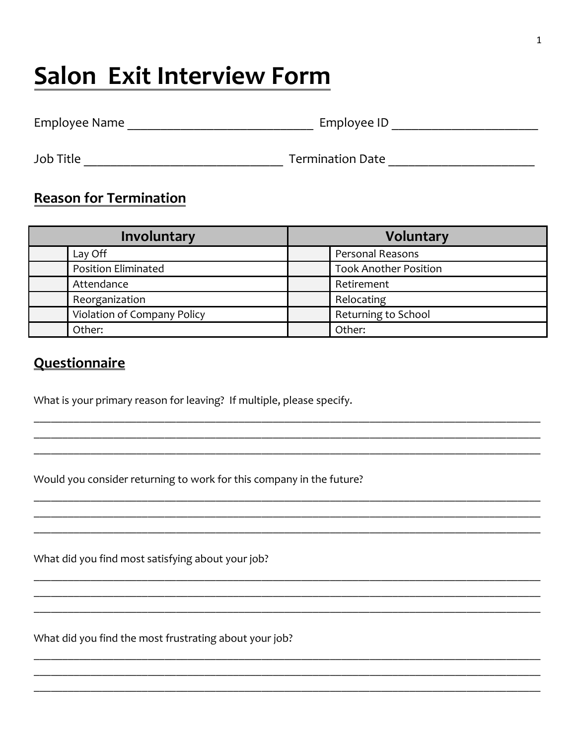## **Salon Exit Interview Form**

| Employee Name | Employee ID |  |
|---------------|-------------|--|
|               |             |  |

## **Reason for Termination**

| Involuntary |                             | Voluntary |                              |
|-------------|-----------------------------|-----------|------------------------------|
|             | Lay Off                     |           | Personal Reasons             |
|             | <b>Position Eliminated</b>  |           | <b>Took Another Position</b> |
|             | Attendance                  |           | Retirement                   |
|             | Reorganization              |           | Relocating                   |
|             | Violation of Company Policy |           | Returning to School          |
|             | Other:                      |           | Other:                       |

## **Questionnaire**

What is your primary reason for leaving? If multiple, please specify.

Would you consider returning to work for this company in the future?

What did you find most satisfying about your job?

What did you find the most frustrating about your job?